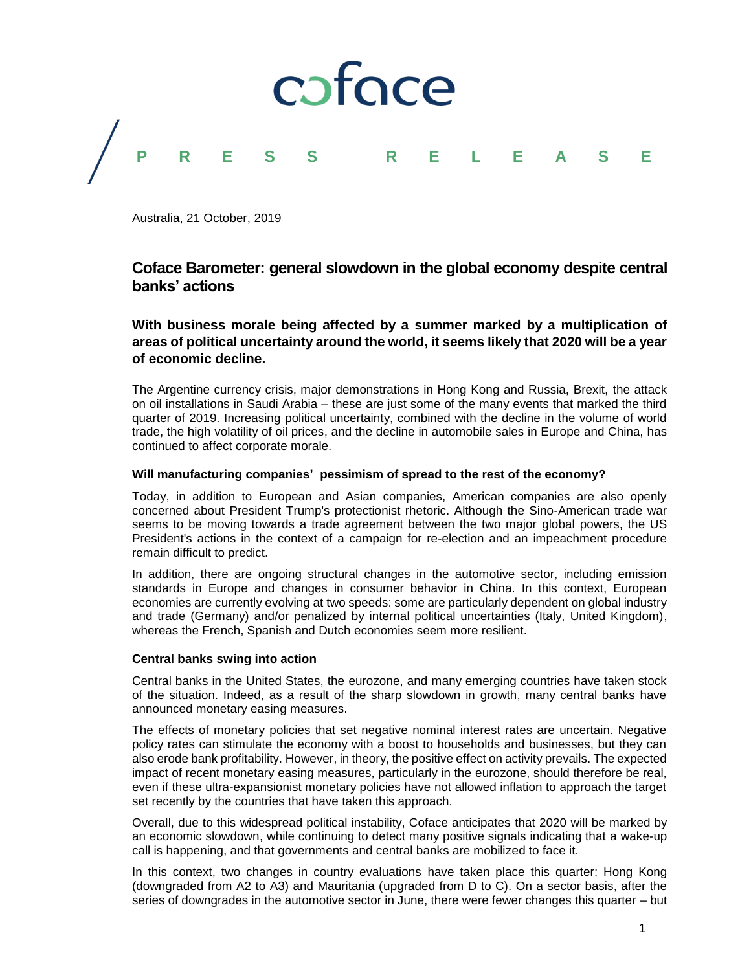

Australia, 21 October, 2019

# **Coface Barometer: general slowdown in the global economy despite central banks' actions**

**With business morale being affected by a summer marked by a multiplication of areas of political uncertainty around the world, it seems likely that 2020 will be a year of economic decline.**

The Argentine currency crisis, major demonstrations in Hong Kong and Russia, Brexit, the attack on oil installations in Saudi Arabia – these are just some of the many events that marked the third quarter of 2019. Increasing political uncertainty, combined with the decline in the volume of world trade, the high volatility of oil prices, and the decline in automobile sales in Europe and China, has continued to affect corporate morale.

## **Will manufacturing companies' pessimism of spread to the rest of the economy?**

Today, in addition to European and Asian companies, American companies are also openly concerned about President Trump's protectionist rhetoric. Although the Sino-American trade war seems to be moving towards a trade agreement between the two major global powers, the US President's actions in the context of a campaign for re-election and an impeachment procedure remain difficult to predict.

In addition, there are ongoing structural changes in the automotive sector, including emission standards in Europe and changes in consumer behavior in China. In this context, European economies are currently evolving at two speeds: some are particularly dependent on global industry and trade (Germany) and/or penalized by internal political uncertainties (Italy, United Kingdom), whereas the French, Spanish and Dutch economies seem more resilient.

### **Central banks swing into action**

Central banks in the United States, the eurozone, and many emerging countries have taken stock of the situation. Indeed, as a result of the sharp slowdown in growth, many central banks have announced monetary easing measures.

The effects of monetary policies that set negative nominal interest rates are uncertain. Negative policy rates can stimulate the economy with a boost to households and businesses, but they can also erode bank profitability. However, in theory, the positive effect on activity prevails. The expected impact of recent monetary easing measures, particularly in the eurozone, should therefore be real, even if these ultra-expansionist monetary policies have not allowed inflation to approach the target set recently by the countries that have taken this approach.

Overall, due to this widespread political instability, Coface anticipates that 2020 will be marked by an economic slowdown, while continuing to detect many positive signals indicating that a wake-up call is happening, and that governments and central banks are mobilized to face it.

In this context, two changes in country evaluations have taken place this quarter: Hong Kong (downgraded from A2 to A3) and Mauritania (upgraded from D to C). On a sector basis, after the series of downgrades in the automotive sector in June, there were fewer changes this quarter – but